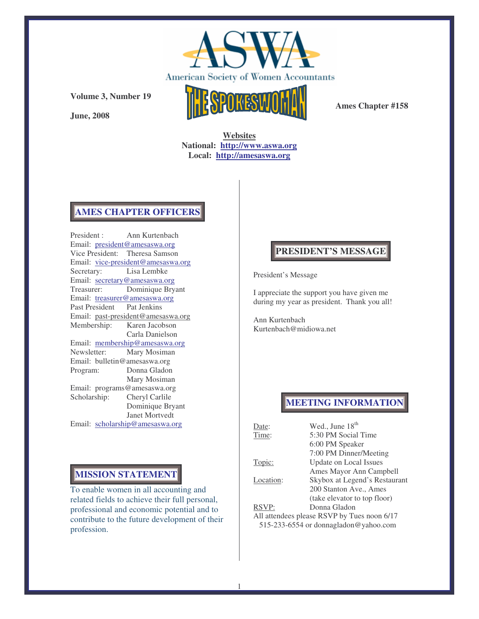

**June, 2008**



**Ames Chapter #158**

**Websites National: http://www.aswa.org Local: http://amesaswa.org**

#### **AMES CHAPTER OFFICERS**

President : Ann Kurtenbach Email: president@amesaswa.org Vice President: Theresa Samson Email: vice-president@amesaswa.org Secretary: Lisa Lembke Email: secretary@amesaswa.org Treasurer: Dominique Bryant Email: treasurer@amesaswa.org Past President Pat Jenkins Email: past-president@amesaswa.org Membership: Karen Jacobson Carla Danielson Email: membership@amesaswa.org Newsletter: Mary Mosiman Email: bulletin@amesaswa.org Program: Donna Gladon Mary Mosiman Email: programs@amesaswa.org Scholarship: Cheryl Carlile Dominique Bryant Janet Mortvedt Email: scholarship@amesaswa.org

## **MISSION STATEMENT**

To enable women in all accounting and related fields to achieve their full personal, professional and economic potential and to contribute to the future development of their profession.

## **PRESIDENT'S MESSAGE**

President's Message

I appreciate the support you have given me during my year as president. Thank you all!

Ann Kurtenbach Kurtenbach@midiowa.net

## **MEETING INFORMATION**

| Date:                                       | Wed., June 18 <sup>th</sup>   |  |
|---------------------------------------------|-------------------------------|--|
| Time:                                       | 5:30 PM Social Time           |  |
|                                             | 6:00 PM Speaker               |  |
|                                             | 7:00 PM Dinner/Meeting        |  |
| Topic:                                      | Update on Local Issues        |  |
|                                             | Ames Mayor Ann Campbell       |  |
| Location:                                   | Skybox at Legend's Restaurant |  |
|                                             | 200 Stanton Ave., Ames        |  |
|                                             | (take elevator to top floor)  |  |
| RSVP:                                       | Donna Gladon                  |  |
| All attendees please RSVP by Tues noon 6/17 |                               |  |
| 515-233-6554 or donnagladon@yahoo.com       |                               |  |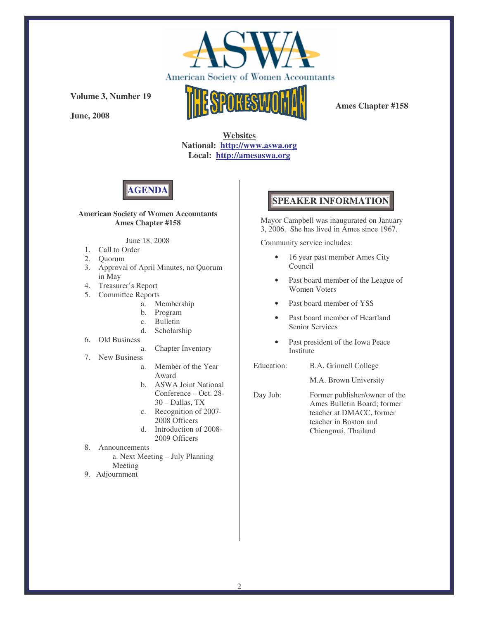

**June, 2008**



**Ames Chapter #158**

**Websites National: http://www.aswa.org Local: http://amesaswa.org**



#### **American Society of Women Accountants Ames Chapter #158**

#### June 18, 2008

- 1. Call to Order
- 2. Quorum
- 3. Approval of April Minutes, no Quorum in May
- 4. Treasurer's Report
- 5. Committee Reports
	- a. Membership
	- b. Program
	- c. Bulletin
	- d. Scholarship
- 6. Old Business
	- a. Chapter Inventory
- 7. New Business
	- a. Member of the Year Award
	- b. ASWA Joint National Conference – Oct. 28- 30 – Dallas, TX
	- c. Recognition of 2007- 2008 Officers
	- d. Introduction of 2008- 2009 Officers
- 8. Announcements
	- a. Next Meeting July Planning Meeting
- 9. Adjournment

## **SPEAKER INFORMATION**

Mayor Campbell was inaugurated on January 3, 2006. She has lived in Ames since 1967.

Community service includes:

- 16 year past member Ames City Council
- Past board member of the League of Women Voters
- Past board member of YSS
- Past board member of Heartland Senior Services
- Past president of the Iowa Peace Institute
- Education: B.A. Grinnell College

M.A. Brown University

Day Job: Former publisher/owner of the Ames Bulletin Board; former teacher at DMACC, former teacher in Boston and Chiengmai, Thailand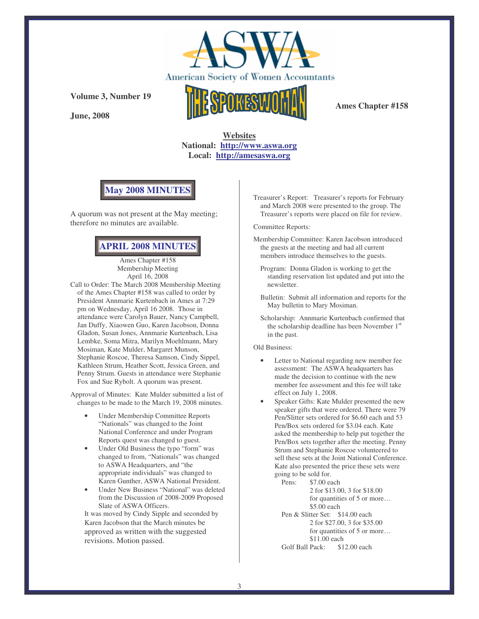

**June, 2008**



**Ames Chapter #158**

**Websites National: http://www.aswa.org Local: http://amesaswa.org**

## **May 2008 MINUTES**

A quorum was not present at the May meeting; therefore no minutes are available.

## **APRIL 2008 MINUTES**

Ames Chapter #158 Membership Meeting April 16, 2008

Call to Order: The March 2008 Membership Meeting of the Ames Chapter #158 was called to order by President Annmarie Kurtenbach in Ames at 7:29 pm on Wednesday, April 16 2008. Those in attendance were Carolyn Bauer, Nancy Campbell, Jan Duffy, Xiaowen Guo, Karen Jacobson, Donna Gladon, Susan Jones, Annmarie Kurtenbach, Lisa Lembke, Soma Mitra, Marilyn Moehlmann, Mary Mosiman, Kate Mulder, Margaret Munson, Stephanie Roscoe, Theresa Samson, Cindy Sippel, Kathleen Strum, Heather Scott, Jessica Green, and Penny Strum. Guests in attendance were Stephanie Fox and Sue Rybolt. A quorum was present.

Approval of Minutes: Kate Mulder submitted a list of changes to be made to the March 19, 2008 minutes.

- Under Membership Committee Reports "Nationals" was changed to the Joint National Conference and under Program Reports quest was changed to guest.
- Under Old Business the typo "form" was changed to from, "Nationals" was changed to ASWA Headquarters, and "the appropriate individuals" was changed to Karen Gunther, ASWA National President.
- Under New Business "National" was deleted from the Discussion of 2008-2009 Proposed Slate of ASWA Officers.

It was moved by Cindy Sipple and seconded by Karen Jacobson that the March minutes be approved as written with the suggested revisions. Motion passed.

Treasurer's Report: Treasurer's reports for February and March 2008 were presented to the group. The Treasurer's reports were placed on file for review.

Committee Reports:

- Membership Committee: Karen Jacobson introduced the guests at the meeting and had all current members introduce themselves to the guests.
	- Program: Donna Gladon is working to get the standing reservation list updated and put into the newsletter.
	- Bulletin: Submit all information and reports for the May bulletin to Mary Mosiman.

Scholarship: Annmarie Kurtenbach confirmed that the scholarship deadline has been November 1<sup>st</sup> in the past.

Old Business:

- Letter to National regarding new member fee assessment: The ASWA headquarters has made the decision to continue with the new member fee assessment and this fee will take effect on July 1, 2008.
- Speaker Gifts: Kate Mulder presented the new speaker gifts that were ordered. There were 79 Pen/Slitter sets ordered for \$6.60 each and 53 Pen/Box sets ordered for \$3.04 each. Kate asked the membership to help put together the Pen/Box sets together after the meeting. Penny Strum and Stephanie Roscoe volunteered to sell these sets at the Joint National Conference. Kate also presented the price these sets were going to be sold for.

Pens: \$7.00 each 2 for \$13.00, 3 for \$18.00 for quantities of 5 or more… \$5.00 each Pen & Slitter Set: \$14.00 each 2 for \$27.00, 3 for \$35.00 for quantities of 5 or more... \$11.00 each<br>Pack: \$12.00 each Golf Ball Pack: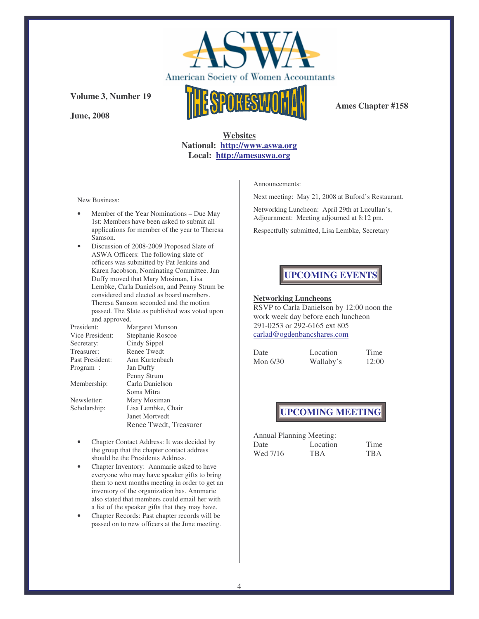

**June, 2008**



**Ames Chapter #158**

#### **Websites National: http://www.aswa.org Local: http://amesaswa.org**

New Business:

- Member of the Year Nominations Due May 1st: Members have been asked to submit all applications for member of the year to Theresa Samson.
- Discussion of 2008-2009 Proposed Slate of ASWA Officers: The following slate of officers was submitted by Pat Jenkins and Karen Jacobson, Nominating Committee. Jan Duffy moved that Mary Mosiman, Lisa Lembke, Carla Danielson, and Penny Strum be considered and elected as board members. Theresa Samson seconded and the motion passed. The Slate as published was voted upon and approved.

| President:      | Margaret Munson        |  |
|-----------------|------------------------|--|
| Vice President: | Stephanie Roscoe       |  |
| Secretary:      | Cindy Sippel           |  |
| Treasurer:      | Renee Twedt            |  |
| Past President: | Ann Kurtenbach         |  |
| Program :       | Jan Duffy              |  |
|                 | Penny Strum            |  |
| Membership:     | Carla Danielson        |  |
|                 | Soma Mitra             |  |
| Newsletter:     | Mary Mosiman           |  |
| Scholarship:    | Lisa Lembke, Chair     |  |
|                 | Janet Mortvedt         |  |
|                 | Renee Twedt, Treasurer |  |

- Chapter Contact Address: It was decided by the group that the chapter contact address should be the Presidents Address.
- Chapter Inventory: Annmarie asked to have everyone who may have speaker gifts to bring them to next months meeting in order to get an inventory of the organization has. Annmarie also stated that members could email her with a list of the speaker gifts that they may have.
- Chapter Records: Past chapter records will be passed on to new officers at the June meeting.

Announcements:

Next meeting: May 21, 2008 at Buford's Restaurant.

Networking Luncheon: April 29th at Lucullan's, Adjournment: Meeting adjourned at 8:12 pm.

Respectfully submitted, Lisa Lembke, Secretary

## **UPCOMING EVENTS**

#### **Networking Luncheons**

RSVP to Carla Danielson by 12:00 noon the work week day before each luncheon 291-0253 or 292-6165 ext 805 carlad@ogdenbancshares.com

| Date     | Location  | Time  |
|----------|-----------|-------|
| Mon 6/30 | Wallaby's | 12:00 |

## **UPCOMING MEETING**

Annual Planning Meeting:

| Date     | Location | Time       |
|----------|----------|------------|
| Wed 7/16 | TR A     | <b>TRA</b> |